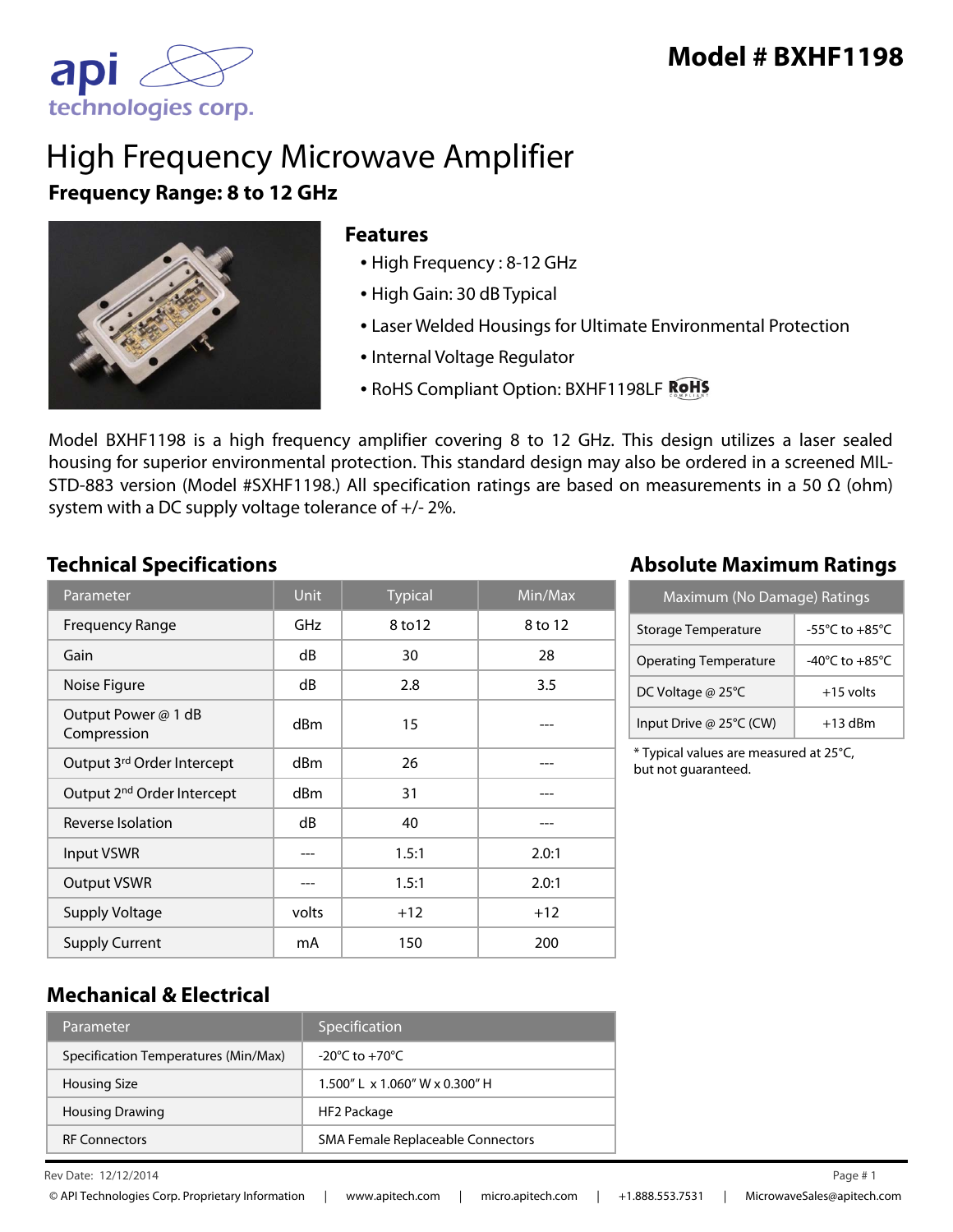

# High Frequency Microwave Amplifier **Frequency Range: 8 to 12 GHz**



#### **Features**

- High Frequency : 8-12 GHz
- High Gain: 30 dB Typical
- Laser Welded Housings for Ultimate Environmental Protection
- Internal Voltage Regulator
- RoHS Compliant Option: BXHF1198LF ROHS

Model BXHF1198 is a high frequency amplifier covering 8 to 12 GHz. This design utilizes a laser sealed housing for superior environmental protection. This standard design may also be ordered in a screened MIL-STD-883 version (Model #SXHF1198.) All specification ratings are based on measurements in a 50  $\Omega$  (ohm) system with a DC supply voltage tolerance of +/- 2%.

| Parameter                              | Unit            | <b>Typical</b> | Min/Max |
|----------------------------------------|-----------------|----------------|---------|
| <b>Frequency Range</b>                 | GHz             | 8 to 12        | 8 to 12 |
| Gain                                   | dB              | 30             | 28      |
| Noise Figure                           | dB              | 2.8            | 3.5     |
| Output Power @ 1 dB<br>Compression     | dBm             | 15             |         |
| Output 3rd Order Intercept             | d <sub>Bm</sub> | 26             |         |
| Output 2 <sup>nd</sup> Order Intercept | dBm             | 31             |         |
| Reverse Isolation                      | dB              | 40             |         |
| Input VSWR                             |                 | 1.5:1          | 2.0:1   |
| <b>Output VSWR</b>                     |                 | 1.5:1          | 2.0:1   |
| <b>Supply Voltage</b>                  | volts           | $+12$          | $+12$   |
| <b>Supply Current</b>                  | mA              | 150            | 200     |

# **Technical Specifications Absolute Maximum Ratings**

| Maximum (No Damage) Ratings  |                                      |  |
|------------------------------|--------------------------------------|--|
| Storage Temperature          | -55 $^{\circ}$ C to +85 $^{\circ}$ C |  |
| <b>Operating Temperature</b> | $-40^{\circ}$ C to $+85^{\circ}$ C   |  |
| DC Voltage @ 25°C            | $+15$ volts                          |  |
| Input Drive @ 25°C (CW)      | $+13$ dBm                            |  |

\* Typical values are measured at 25°C, but not guaranteed.

### **Mechanical & Electrical**

| Parameter                            | Specification                        |
|--------------------------------------|--------------------------------------|
| Specification Temperatures (Min/Max) | $-20^{\circ}$ C to $+70^{\circ}$ C   |
| <b>Housing Size</b>                  | $1.500''$   x $1.060''$ W x 0.300" H |
| <b>Housing Drawing</b>               | HF2 Package                          |
| <b>RF Connectors</b>                 | SMA Female Replaceable Connectors    |

Rev Date: 12/12/2014 Page # 1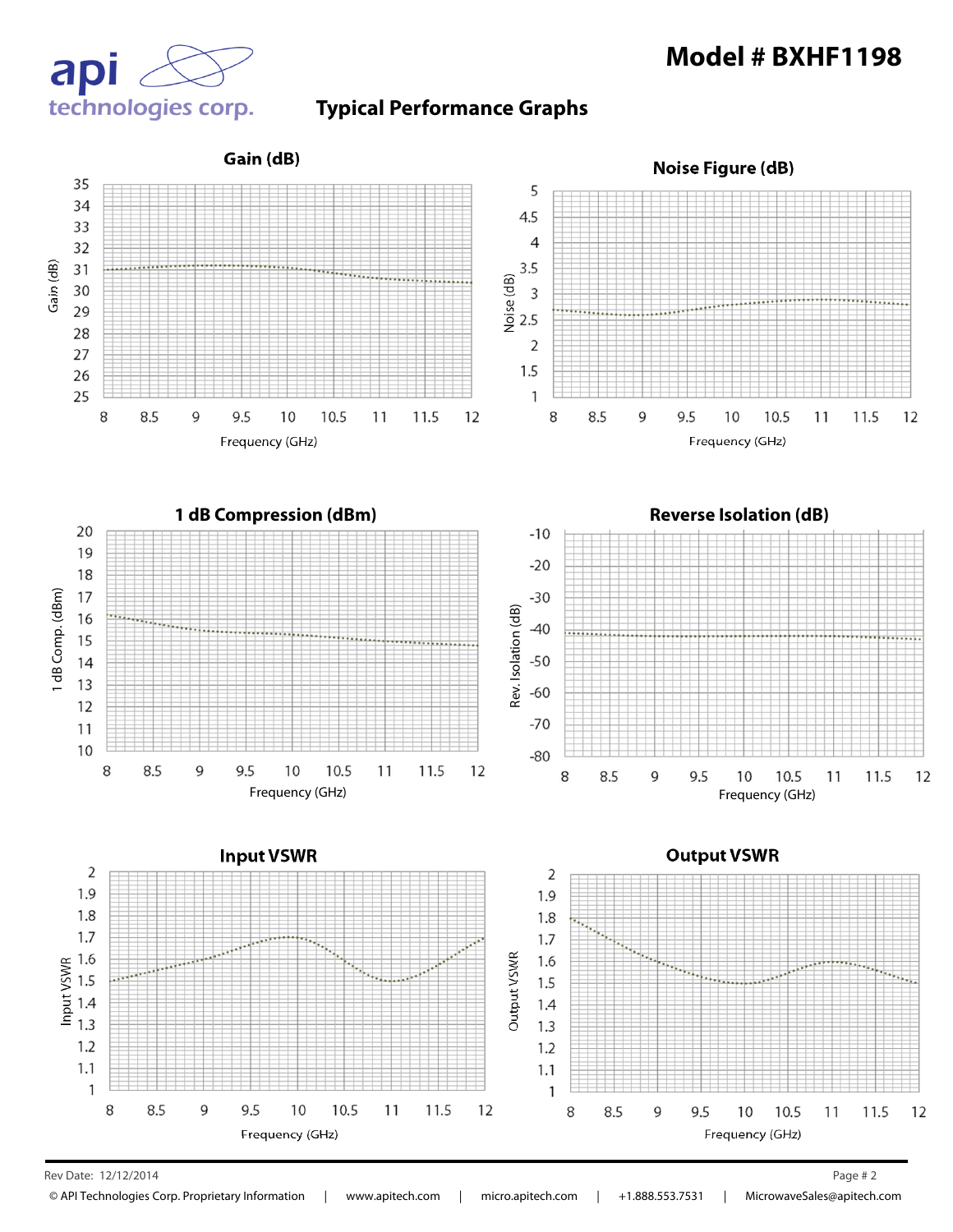

#### **Typical Performance Graphs**